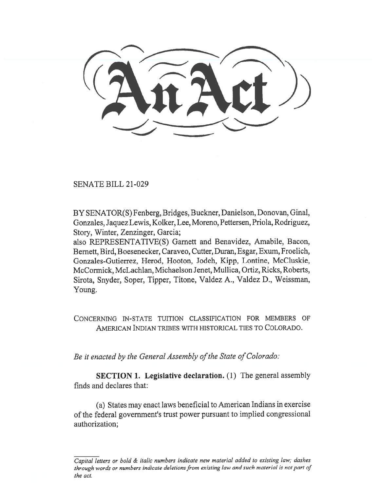SENATE BILL 21-029

BY SENATOR(S) Fenberg, Bridges, Buckner, Danielson, Donovan, Ginal, Gonzales, Jaquez Lewis, Kolker, Lee, Moreno, Pettersen, Priola, Rodriguez, Story, Winter, Zenzinger, Garcia;

also REPRESENTATIVE(S) Garnett and Benavidez, Amabile, Bacon, Bernett, Bird, Boesenecker, Caraveo, Cutter, Duran, Esgar, Exum, Froelich, Gonzales-Gutierrez, Herod, Hooton, Jodeh, Kipp, Lontine, McCluskie, McCormick, McLachlan, Michaelson Jenet, Mullica, Ortiz, Ricks, Roberts, Sirota, Snyder, Soper, Tipper, Titone, Valdez A., Valdez D., Weissman, Young.

CONCERNING IN-STATE TUITION CLASSIFICATION FOR MEMBERS OF AMERICAN INDIAN TRIBES WITH HISTORICAL TIES TO COLORADO.

Be it enacted by the General Assembly of the State of Colorado:

SECTION 1. Legislative declaration. (1) The general assembly finds and declares that:

(a) States may enact laws beneficial to American Indians in exercise of the federal government's trust power pursuant to implied congressional authorization;

Capital letters or bold & italic numbers indicate new material added to existing law; dashes through words or numbers indicate deletions from existing law and such material is not part of the act.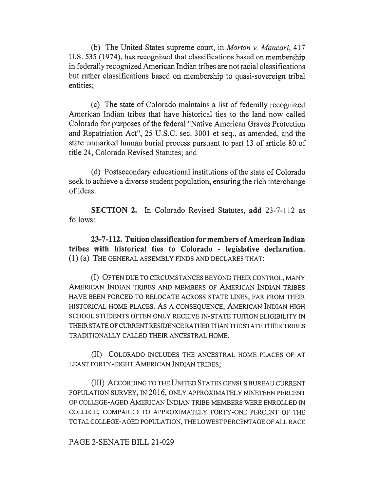(b) The United States supreme court, in Morton v. Mancari, 417 U.S. 535 (1974), has recognized that classifications based on membership in federally recognized American Indian tribes are not racial classifications but rather classifications based on membership to quasi-sovereign tribal entities;

(c) The state of Colorado maintains a list of federally recognized American Indian tribes that have historical ties to the land now called Colorado for purposes of the federal "Native American Graves Protection and Repatriation Act", 25 U.S.C. sec. 3001 et seq., as amended, and the state unmarked human burial process pursuant to part 13 of article 80 of title 24, Colorado Revised Statutes; and

(d) Postsecondary educational institutions of the state of Colorado seek to achieve a diverse student population, ensuring the rich interchange of ideas.

SECTION 2. In Colorado Revised Statutes, add 23-7-112 as follows:

23-7-112. Tuition classification for members of American Indian tribes with historical ties to Colorado - legislative declaration. (1) (a) THE GENERAL ASSEMBLY FINDS AND DECLARES THAT:

(I) OFTEN DUE TO CIRCUMSTANCES BEYOND THEIR CONTROL, MANY AMERICAN INDIAN TRIBES AND MEMBERS OF AMERICAN INDIAN TRIBES HAVE BEEN FORCED TO RELOCATE ACROSS STATE LINES, FAR FROM THEIR HISTORICAL HOME PLACES. AS A CONSEQUENCE, AMERICAN INDIAN HIGH SCHOOL STUDENTS OFTEN ONLY RECEIVE IN-STATE TUITION ELIGIBILITY IN THEIR STATE OF CURRENT RESIDENCE RATHER THAN THE STATE THEIR TRIBES TRADITIONALLY CALLED THEIR ANCESTRAL HOME.

(II) COLORADO INCLUDES THE ANCESTRAL HOME PLACES OF AT LEAST FORTY-EIGHT AMERICAN INDIAN TRIBES;

(III) ACCORDING TO THE UNITED STATES CENSUS BUREAU CURRENT POPULATION SURVEY, IN 2016, ONLY APPROXIMATELY NINETEEN PERCENT OF COLLEGE-AGED AMERICAN INDIAN TRIBE MEMBERS WERE ENROLLED IN COLLEGE, COMPARED TO APPROXIMATELY FORTY-ONE PERCENT OF THE TOTAL COLLEGE-AGED POPULATION, THE LOWEST PERCENTAGE OF ALL RACE

PAGE 2-SENATE BILL 21-029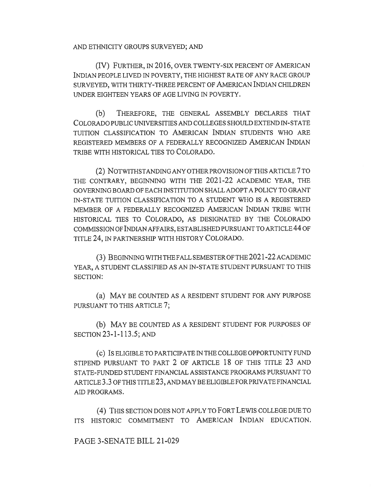AND ETHNICITY GROUPS SURVEYED; AND

(IV) FURTHER, IN 2016, OVER TWENTY-SIX PERCENT OF AMERICAN INDIAN PEOPLE LIVED IN POVERTY, THE HIGHEST RATE OF ANY RACE GROUP SURVEYED, WITH THIRTY-THREE PERCENT OF AMERICAN INDIAN CHILDREN UNDER EIGHTEEN YEARS OF AGE LIVING IN POVERTY.

(b) THEREFORE, THE GENERAL ASSEMBLY DECLARES THAT COLORADO PUBLIC UNIVERSITIES AND COLLEGES SHOULD EXTEND IN-STATE TUITION CLASSIFICATION TO AMERICAN INDIAN STUDENTS WHO ARE REGISTERED MEMBERS OF A FEDERALLY RECOGNIZED AMERICAN INDIAN TRIBE WITH HISTORICAL TIES TO COLORADO.

(2) NOTWITHSTANDING ANY OTHER PROVISION OF THIS ARTICLE 7 TO THE CONTRARY, BEGINNING WITH THE 2021-22 ACADEMIC YEAR, THE GOVERNING BOARD OF EACH INSTITUTION SHALL ADOPT A POLICY TO GRANT IN-STATE TUITION CLASSIFICATION TO A STUDENT WHO IS A REGISTERED MEMBER OF A FEDERALLY RECOGNIZED AMERICAN INDIAN TRIBE WITH HISTORICAL TIES TO COLORADO, AS DESIGNATED BY THE COLORADO COMMISSION OF INDIAN AFFAIRS, ESTABLISHED PURSUANT TO ARTICLE 44 OF TITLE 24, IN PARTNERSHIP WITH HISTORY COLORADO.

(3) BEGINNING WITH THE FALL SEMESTER OF THE 2021-22 ACADEMIC YEAR, A STUDENT CLASSIFIED AS AN IN-STATE STUDENT PURSUANT TO THIS SECTION:

(a) MAY BE COUNTED AS A RESIDENT STUDENT FOR ANY PURPOSE PURSUANT TO THIS ARTICLE 7;

(b) MAY BE COUNTED AS A RESIDENT STUDENT FOR PURPOSES OF SECTION 23-1-113.5; AND

(c) IS ELIGIBLE TO PARTICIPATE IN THE COLLEGE OPPORTUNITY FUND STIPEND PURSUANT TO PART 2 OF ARTICLE 18 OF THIS TITLE 23 AND STATE-FUNDED STUDENT FINANCIAL ASSISTANCE PROGRAMS PURSUANT TO ARTICLE 3.3 OF THIS TITLE 23, AND MAY BE ELIGIBLE FOR PRIVATE FINANCIAL AID PROGRAMS.

(4) THIS SECTION DOES NOT APPLY TO FORT LEWIS COLLEGE DUE TO ITS HISTORIC COMMITMENT TO AMERICAN INDIAN EDUCATION.

## PAGE 3-SENATE BILL 21-029